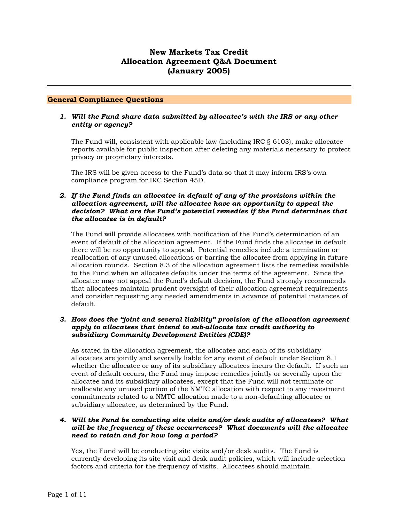# **New Markets Tax Credit Allocation Agreement Q&A Document (January 2005)**

# **General Compliance Questions**

## *1. Will the Fund share data submitted by allocatee's with the IRS or any other entity or agency?*

The Fund will, consistent with applicable law (including IRC § 6103), make allocatee reports available for public inspection after deleting any materials necessary to protect privacy or proprietary interests.

The IRS will be given access to the Fund's data so that it may inform IRS's own compliance program for IRC Section 45D.

## *2. If the Fund finds an allocatee in default of any of the provisions within the allocation agreement, will the allocatee have an opportunity to appeal the decision? What are the Fund's potential remedies if the Fund determines that the allocatee is in default?*

The Fund will provide allocatees with notification of the Fund's determination of an event of default of the allocation agreement. If the Fund finds the allocatee in default there will be no opportunity to appeal. Potential remedies include a termination or reallocation of any unused allocations or barring the allocatee from applying in future allocation rounds. Section 8.3 of the allocation agreement lists the remedies available to the Fund when an allocatee defaults under the terms of the agreement. Since the allocatee may not appeal the Fund's default decision, the Fund strongly recommends that allocatees maintain prudent oversight of their allocation agreement requirements and consider requesting any needed amendments in advance of potential instances of default.

## *3. How does the "joint and several liability" provision of the allocation agreement apply to allocatees that intend to sub-allocate tax credit authority to subsidiary Community Development Entities (CDE)?*

As stated in the allocation agreement, the allocatee and each of its subsidiary allocatees are jointly and severally liable for any event of default under Section 8.1 whether the allocatee or any of its subsidiary allocatees incurs the default. If such an event of default occurs, the Fund may impose remedies jointly or severally upon the allocatee and its subsidiary allocatees, except that the Fund will not terminate or reallocate any unused portion of the NMTC allocation with respect to any investment commitments related to a NMTC allocation made to a non-defaulting allocatee or subsidiary allocatee, as determined by the Fund.

# *4. Will the Fund be conducting site visits and/or desk audits of allocatees? What will be the frequency of these occurrences? What documents will the allocatee need to retain and for how long a period?*

Yes, the Fund will be conducting site visits and/or desk audits. The Fund is currently developing its site visit and desk audit policies, which will include selection factors and criteria for the frequency of visits. Allocatees should maintain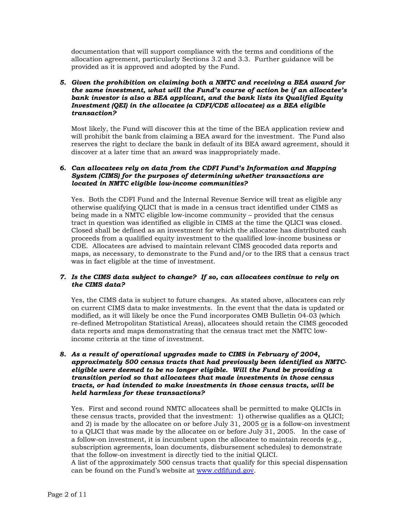documentation that will support compliance with the terms and conditions of the allocation agreement, particularly Sections 3.2 and 3.3. Further guidance will be provided as it is approved and adopted by the Fund.

## *5. Given the prohibition on claiming both a NMTC and receiving a BEA award for the same investment, what will the Fund's course of action be if an allocatee's bank investor is also a BEA applicant, and the bank lists its Qualified Equity Investment (QEI) in the allocatee (a CDFI/CDE allocatee) as a BEA eligible transaction?*

Most likely, the Fund will discover this at the time of the BEA application review and will prohibit the bank from claiming a BEA award for the investment. The Fund also reserves the right to declare the bank in default of its BEA award agreement, should it discover at a later time that an award was inappropriately made.

# *6. Can allocatees rely on data from the CDFI Fund's Information and Mapping System (CIMS) for the purposes of determining whether transactions are located in NMTC eligible low-income communities?*

Yes. Both the CDFI Fund and the Internal Revenue Service will treat as eligible any otherwise qualifying QLICI that is made in a census tract identified under CIMS as being made in a NMTC eligible low-income community – provided that the census tract in question was identified as eligible in CIMS at the time the QLICI was closed. Closed shall be defined as an investment for which the allocatee has distributed cash proceeds from a qualified equity investment to the qualified low-income business or CDE. Allocatees are advised to maintain relevant CIMS geocoded data reports and maps, as necessary, to demonstrate to the Fund and/or to the IRS that a census tract was in fact eligible at the time of investment.

## *7. Is the CIMS data subject to change? If so, can allocatees continue to rely on the CIMS data?*

Yes, the CIMS data is subject to future changes. As stated above, allocatees can rely on current CIMS data to make investments. In the event that the data is updated or modified, as it will likely be once the Fund incorporates OMB Bulletin 04-03 (which re-defined Metropolitan Statistical Areas), allocatees should retain the CIMS geocoded data reports and maps demonstrating that the census tract met the NMTC lowincome criteria at the time of investment.

## *8. As a result of operational upgrades made to CIMS in February of 2004, approximately 500 census tracts that had previously been identified as NMTCeligible were deemed to be no longer eligible. Will the Fund be providing a transition period so that allocatees that made investments in those census tracts, or had intended to make investments in those census tracts, will be held harmless for these transactions?*

Yes. First and second round NMTC allocatees shall be permitted to make QLICIs in these census tracts, provided that the investment: 1) otherwise qualifies as a QLICI; and 2) is made by the allocatee on or before July 31, 2005 or is a follow-on investment to a QLICI that was made by the allocatee on or before July 31, 2005. In the case of a follow-on investment, it is incumbent upon the allocatee to maintain records (e.g., subscription agreements, loan documents, disbursement schedules) to demonstrate that the follow-on investment is directly tied to the initial QLICI.

A list of the approximately 500 census tracts that qualify for this special dispensation can be found on the Fund's website at [www.cdfifund.gov.](http://www.cdfifund.gov/)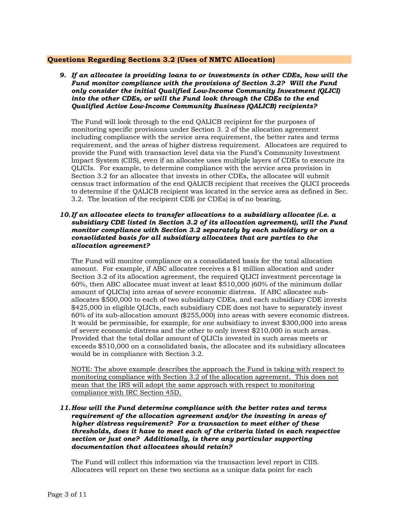## **Questions Regarding Sections 3.2 (Uses of NMTC Allocation)**

*9. If an allocatee is providing loans to or investments in other CDEs, how will the Fund monitor compliance with the provisions of Section 3.2? Will the Fund only consider the initial Qualified Low-Income Community Investment (QLICI) into the other CDEs, or will the Fund look through the CDEs to the end Qualified Active Low-Income Community Business (QALICB) recipients?* 

The Fund will look through to the end QALICB recipient for the purposes of monitoring specific provisions under Section 3. 2 of the allocation agreement including compliance with the service area requirement, the better rates and terms requirement, and the areas of higher distress requirement. Allocatees are required to provide the Fund with transaction level data via the Fund's Community Investment Impact System (CIIS), even if an allocatee uses multiple layers of CDEs to execute its QLICIs. For example, to determine compliance with the service area provision in Section 3.2 for an allocatee that invests in other CDEs, the allocatee will submit census tract information of the end QALICB recipient that receives the QLICI proceeds to determine if the QALICB recipient was located in the service area as defined in Sec. 3.2. The location of the recipient CDE (or CDEs) is of no bearing.

## *10. If an allocatee elects to transfer allocations to a subsidiary allocatee (i.e. a subsidiary CDE listed in Section 3.2 of its allocation agreement), will the Fund monitor compliance with Section 3.2 separately by each subsidiary or on a consolidated basis for all subsidiary allocatees that are parties to the allocation agreement?*

The Fund will monitor compliance on a consolidated basis for the total allocation amount. For example, if ABC allocatee receives a \$1 million allocation and under Section 3.2 of its allocation agreement, the required QLICI investment percentage is 60%, then ABC allocatee must invest at least \$510,000 (60% of the minimum dollar amount of QLICIs) into areas of severe economic distress. If ABC allocatee suballocates \$500,000 to each of two subsidiary CDEs, and each subsidiary CDE invests \$425,000 in eligible QLICIs, each subsidiary CDE does not have to separately invest 60% of its sub-allocation amount (\$255,000) into areas with severe economic distress. It would be permissible, for example, for one subsidiary to invest \$300,000 into areas of severe economic distress and the other to only invest \$210,000 in such areas. Provided that the total dollar amount of QLICIs invested in such areas meets or exceeds \$510,000 on a consolidated basis, the allocatee and its subsidiary allocatees would be in compliance with Section 3.2.

NOTE: The above example describes the approach the Fund is taking with respect to monitoring compliance with Section 3.2 of the allocation agreement. This does not mean that the IRS will adopt the same approach with respect to monitoring compliance with IRC Section 45D.

## *11. How will the Fund determine compliance with the better rates and terms requirement of the allocation agreement and/or the investing in areas of higher distress requirement? For a transaction to meet either of these thresholds, does it have to meet each of the criteria listed in each respective section or just one? Additionally, is there any particular supporting documentation that allocatees should retain?*

The Fund will collect this information via the transaction level report in CIIS. Allocatees will report on these two sections as a unique data point for each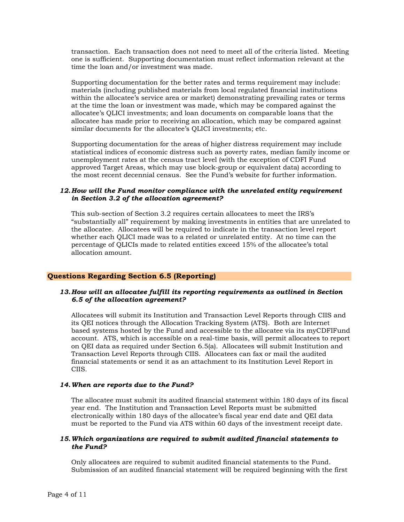transaction. Each transaction does not need to meet all of the criteria listed. Meeting one is sufficient. Supporting documentation must reflect information relevant at the time the loan and/or investment was made.

Supporting documentation for the better rates and terms requirement may include: materials (including published materials from local regulated financial institutions within the allocatee's service area or market) demonstrating prevailing rates or terms at the time the loan or investment was made, which may be compared against the allocatee's QLICI investments; and loan documents on comparable loans that the allocatee has made prior to receiving an allocation, which may be compared against similar documents for the allocatee's QLICI investments; etc.

Supporting documentation for the areas of higher distress requirement may include statistical indices of economic distress such as poverty rates, median family income or unemployment rates at the census tract level (with the exception of CDFI Fund approved Target Areas, which may use block-group or equivalent data) according to the most recent decennial census. See the Fund's website for further information.

# *12. How will the Fund monitor compliance with the unrelated entity requirement in Section 3.2 of the allocation agreement?*

This sub-section of Section 3.2 requires certain allocatees to meet the IRS's "substantially all" requirement by making investments in entities that are unrelated to the allocatee. Allocatees will be required to indicate in the transaction level report whether each QLICI made was to a related or unrelated entity. At no time can the percentage of QLICIs made to related entities exceed 15% of the allocatee's total allocation amount.

# **Questions Regarding Section 6.5 (Reporting)**

## *13. How will an allocatee fulfill its reporting requirements as outlined in Section 6.5 of the allocation agreement?*

Allocatees will submit its Institution and Transaction Level Reports through CIIS and its QEI notices through the Allocation Tracking System (ATS). Both are Internet based systems hosted by the Fund and accessible to the allocatee via its myCDFIFund account. ATS, which is accessible on a real-time basis, will permit allocatees to report on QEI data as required under Section 6.5(a). Allocatees will submit Institution and Transaction Level Reports through CIIS. Allocatees can fax or mail the audited financial statements or send it as an attachment to its Institution Level Report in CIIS.

## *14. When are reports due to the Fund?*

The allocatee must submit its audited financial statement within 180 days of its fiscal year end. The Institution and Transaction Level Reports must be submitted electronically within 180 days of the allocatee's fiscal year end date and QEI data must be reported to the Fund via ATS within 60 days of the investment receipt date.

#### *15.Which organizations are required to submit audited financial statements to the Fund?*

Only allocatees are required to submit audited financial statements to the Fund. Submission of an audited financial statement will be required beginning with the first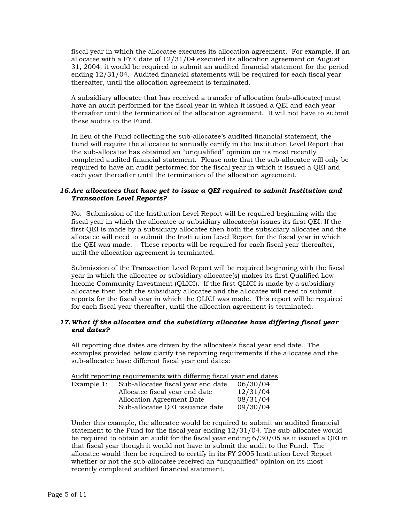fiscal year in which the allocatee executes its allocation agreement. For example, if an allocatee with a FYE date of 12/31/04 executed its allocation agreement on August 31, 2004, it would be required to submit an audited financial statement for the period ending 12/31/04. Audited financial statements will be required for each fiscal year thereafter, until the allocation agreement is terminated.

A subsidiary allocatee that has received a transfer of allocation (sub-allocatee) must have an audit performed for the fiscal year in which it issued a QEI and each year thereafter until the termination of the allocation agreement. It will not have to submit these audits to the Fund.

In lieu of the Fund collecting the sub-allocatee's audited financial statement, the Fund will require the allocatee to annually certify in the Institution Level Report that the sub-allocatee has obtained an "unqualified" opinion on its most recently completed audited financial statement. Please note that the sub-allocatee will only be required to have an audit performed for the fiscal year in which it issued a QEI and each year thereafter until the termination of the allocation agreement.

# *16. Are allocatees that have yet to issue a QEI required to submit Institution and Transaction Level Reports?*

No. Submission of the Institution Level Report will be required beginning with the fiscal year in which the allocatee or subsidiary allocatee(s) issues its first QEI. If the first QEI is made by a subsidiary allocatee then both the subsidiary allocatee and the allocatee will need to submit the Institution Level Report for the fiscal year in which the QEI was made. These reports will be required for each fiscal year thereafter, until the allocation agreement is terminated.

Submission of the Transaction Level Report will be required beginning with the fiscal year in which the allocatee or subsidiary allocatee(s) makes its first Qualified Low-Income Community Investment (QLICI). If the first QLICI is made by a subsidiary allocatee then both the subsidiary allocatee and the allocatee will need to submit reports for the fiscal year in which the QLICI was made. This report will be required for each fiscal year thereafter, until the allocation agreement is terminated.

## *17.What if the allocatee and the subsidiary allocatee have differing fiscal year end dates?*

All reporting due dates are driven by the allocatee's fiscal year end date. The examples provided below clarify the reporting requirements if the allocatee and the sub-allocatee have different fiscal year end dates:

| Audit reporting requirements with differing fiscal year end dates |  |  |  |  |  |
|-------------------------------------------------------------------|--|--|--|--|--|
|-------------------------------------------------------------------|--|--|--|--|--|

| Example 1: | Sub-allocatee fiscal year end date | 06/30/04 |
|------------|------------------------------------|----------|
|            | Allocatee fiscal year end date     | 12/31/04 |
|            | Allocation Agreement Date          | 08/31/04 |
|            | Sub-allocatee QEI issuance date    | 09/30/04 |

Under this example, the allocatee would be required to submit an audited financial statement to the Fund for the fiscal year ending 12/31/04. The sub-allocatee would be required to obtain an audit for the fiscal year ending 6/30/05 as it issued a QEI in that fiscal year though it would not have to submit the audit to the Fund. The allocatee would then be required to certify in its FY 2005 Institution Level Report whether or not the sub-allocatee received an "unqualified" opinion on its most recently completed audited financial statement.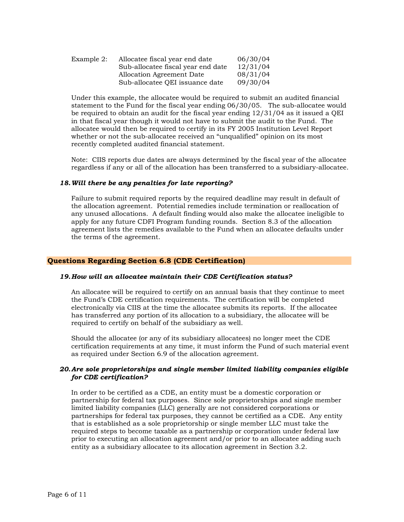| Example 2: | Allocatee fiscal year end date     | 06/30/04 |
|------------|------------------------------------|----------|
|            | Sub-allocatee fiscal year end date | 12/31/04 |
|            | Allocation Agreement Date          | 08/31/04 |
|            | Sub-allocatee QEI issuance date    | 09/30/04 |

Under this example, the allocatee would be required to submit an audited financial statement to the Fund for the fiscal year ending 06/30/05. The sub-allocatee would be required to obtain an audit for the fiscal year ending 12/31/04 as it issued a QEI in that fiscal year though it would not have to submit the audit to the Fund. The allocatee would then be required to certify in its FY 2005 Institution Level Report whether or not the sub-allocatee received an "unqualified" opinion on its most recently completed audited financial statement.

Note: CIIS reports due dates are always determined by the fiscal year of the allocatee regardless if any or all of the allocation has been transferred to a subsidiary-allocatee.

# *18. Will there be any penalties for late reporting?*

Failure to submit required reports by the required deadline may result in default of the allocation agreement. Potential remedies include termination or reallocation of any unused allocations. A default finding would also make the allocatee ineligible to apply for any future CDFI Program funding rounds. Section 8.3 of the allocation agreement lists the remedies available to the Fund when an allocatee defaults under the terms of the agreement.

# **Questions Regarding Section 6.8 (CDE Certification)**

## *19. How will an allocatee maintain their CDE Certification status?*

An allocatee will be required to certify on an annual basis that they continue to meet the Fund's CDE certification requirements. The certification will be completed electronically via CIIS at the time the allocatee submits its reports. If the allocatee has transferred any portion of its allocation to a subsidiary, the allocatee will be required to certify on behalf of the subsidiary as well.

Should the allocatee (or any of its subsidiary allocatees) no longer meet the CDE certification requirements at any time, it must inform the Fund of such material event as required under Section 6.9 of the allocation agreement.

## *20. Are sole proprietorships and single member limited liability companies eligible for CDE certification?*

In order to be certified as a CDE, an entity must be a domestic corporation or partnership for federal tax purposes. Since sole proprietorships and single member limited liability companies (LLC) generally are not considered corporations or partnerships for federal tax purposes, they cannot be certified as a CDE. Any entity that is established as a sole proprietorship or single member LLC must take the required steps to become taxable as a partnership or corporation under federal law prior to executing an allocation agreement and/or prior to an allocatee adding such entity as a subsidiary allocatee to its allocation agreement in Section 3.2.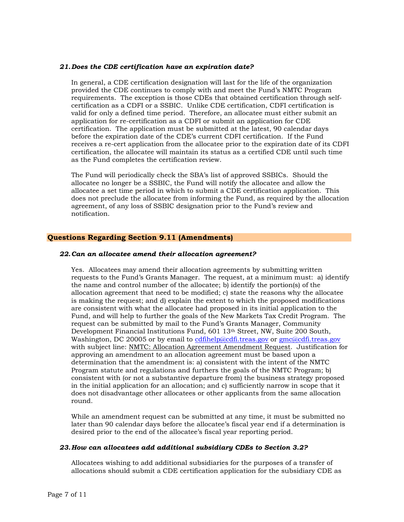## *21. Does the CDE certification have an expiration date?*

In general, a CDE certification designation will last for the life of the organization provided the CDE continues to comply with and meet the Fund's NMTC Program requirements. The exception is those CDEs that obtained certification through selfcertification as a CDFI or a SSBIC. Unlike CDE certification, CDFI certification is valid for only a defined time period. Therefore, an allocatee must either submit an application for re-certification as a CDFI or submit an application for CDE certification. The application must be submitted at the latest, 90 calendar days before the expiration date of the CDE's current CDFI certification. If the Fund receives a re-cert application from the allocatee prior to the expiration date of its CDFI certification, the allocatee will maintain its status as a certified CDE until such time as the Fund completes the certification review.

The Fund will periodically check the SBA's list of approved SSBICs. Should the allocatee no longer be a SSBIC, the Fund will notify the allocatee and allow the allocatee a set time period in which to submit a CDE certification application. This does not preclude the allocatee from informing the Fund, as required by the allocation agreement, of any loss of SSBIC designation prior to the Fund's review and notification.

## **Questions Regarding Section 9.11 (Amendments)**

## *22.Can an allocatee amend their allocation agreement?*

Yes. Allocatees may amend their allocation agreements by submitting written requests to the Fund's Grants Manager. The request, at a minimum must: a) identify the name and control number of the allocatee; b) identify the portion(s) of the allocation agreement that need to be modified; c) state the reasons why the allocatee is making the request; and d) explain the extent to which the proposed modifications are consistent with what the allocatee had proposed in its initial application to the Fund, and will help to further the goals of the New Markets Tax Credit Program. The request can be submitted by mail to the Fund's Grants Manager, Community Development Financial Institutions Fund, 601 13th Street, NW, Suite 200 South, Washington, DC 20005 or by email to [cdfihelp@cdfi.treas.gov](mailto:cdfihelp@cdfi.treas.gov) or [gmc@cdfi.treas.gov](mailto:gmc@cdfi.treas.gov) with subject line: NMTC: Allocation Agreement Amendment Request. Justification for approving an amendment to an allocation agreement must be based upon a determination that the amendment is: a) consistent with the intent of the NMTC Program statute and regulations and furthers the goals of the NMTC Program; b) consistent with (or not a substantive departure from) the business strategy proposed in the initial application for an allocation; and c) sufficiently narrow in scope that it does not disadvantage other allocatees or other applicants from the same allocation round.

While an amendment request can be submitted at any time, it must be submitted no later than 90 calendar days before the allocatee's fiscal year end if a determination is desired prior to the end of the allocatee's fiscal year reporting period.

## *23.How can allocatees add additional subsidiary CDEs to Section 3.2?*

Allocatees wishing to add additional subsidiaries for the purposes of a transfer of allocations should submit a CDE certification application for the subsidiary CDE as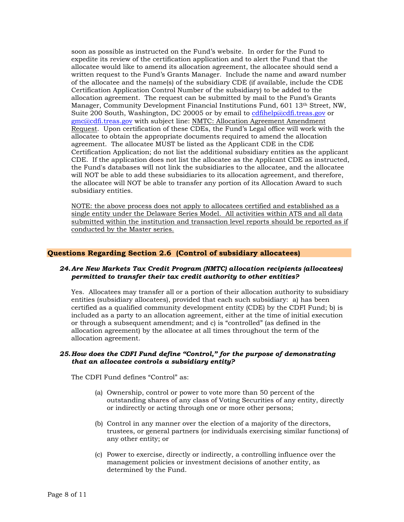soon as possible as instructed on the Fund's website. In order for the Fund to expedite its review of the certification application and to alert the Fund that the allocatee would like to amend its allocation agreement, the allocatee should send a written request to the Fund's Grants Manager. Include the name and award number of the allocatee and the name(s) of the subsidiary CDE (if available, include the CDE Certification Application Control Number of the subsidiary) to be added to the allocation agreement. The request can be submitted by mail to the Fund's Grants Manager, Community Development Financial Institutions Fund, 601 13th Street, NW, Suite 200 South, Washington, DC 20005 or by email to [cdfihelp@cdfi.treas.gov](mailto:cdfihelp@cdfi.treas.gov) or [gmc@cdfi.treas.gov](mailto:gmc@cdfi.treas.gov) with subject line: NMTC: Allocation Agreement Amendment Request. Upon certification of these CDEs, the Fund's Legal office will work with the allocatee to obtain the appropriate documents required to amend the allocation agreement. The allocatee MUST be listed as the Applicant CDE in the CDE Certification Application; do not list the additional subsidiary entities as the applicant CDE. If the application does not list the allocatee as the Applicant CDE as instructed, the Fund's databases will not link the subsidiaries to the allocatee, and the allocatee will NOT be able to add these subsidiaries to its allocation agreement, and therefore, the allocatee will NOT be able to transfer any portion of its Allocation Award to such subsidiary entities.

NOTE: the above process does not apply to allocatees certified and established as a single entity under the Delaware Series Model. All activities within ATS and all data submitted within the institution and transaction level reports should be reported as if conducted by the Master series.

# **Questions Regarding Section 2.6 (Control of subsidiary allocatees)**

## *24.Are New Markets Tax Credit Program (NMTC) allocation recipients (allocatees) permitted to transfer their tax credit authority to other entities?*

Yes. Allocatees may transfer all or a portion of their allocation authority to subsidiary entities (subsidiary allocatees), provided that each such subsidiary: a) has been certified as a qualified community development entity (CDE) by the CDFI Fund; b) is included as a party to an allocation agreement, either at the time of initial execution or through a subsequent amendment; and c) is "controlled" (as defined in the allocation agreement) by the allocatee at all times throughout the term of the allocation agreement.

## *25.How does the CDFI Fund define "Control," for the purpose of demonstrating that an allocatee controls a subsidiary entity?*

The CDFI Fund defines "Control" as:

- (a) Ownership, control or power to vote more than 50 percent of the outstanding shares of any class of Voting Securities of any entity, directly or indirectly or acting through one or more other persons;
- (b) Control in any manner over the election of a majority of the directors, trustees, or general partners (or individuals exercising similar functions) of any other entity; or
- (c) Power to exercise, directly or indirectly, a controlling influence over the management policies or investment decisions of another entity, as determined by the Fund.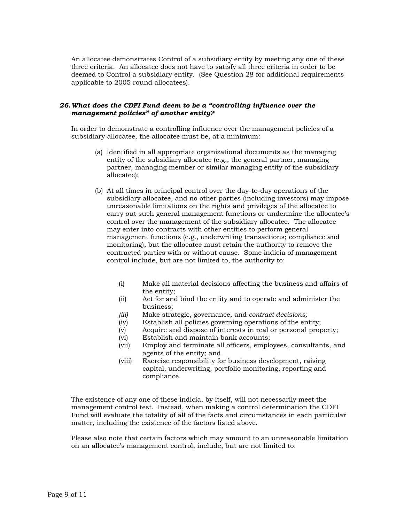An allocatee demonstrates Control of a subsidiary entity by meeting any one of these three criteria. An allocatee does not have to satisfy all three criteria in order to be deemed to Control a subsidiary entity. (See Question 28 for additional requirements applicable to 2005 round allocatees).

## *26. What does the CDFI Fund deem to be a "controlling influence over the management policies" of another entity?*

In order to demonstrate a controlling influence over the management policies of a subsidiary allocatee, the allocatee must be, at a minimum:

- (a) Identified in all appropriate organizational documents as the managing entity of the subsidiary allocatee (e.g., the general partner, managing partner, managing member or similar managing entity of the subsidiary allocatee);
- (b) At all times in principal control over the day-to-day operations of the subsidiary allocatee, and no other parties (including investors) may impose unreasonable limitations on the rights and privileges of the allocatee to carry out such general management functions or undermine the allocatee's control over the management of the subsidiary allocatee. The allocatee may enter into contracts with other entities to perform general management functions (e.g., underwriting transactions; compliance and monitoring), but the allocatee must retain the authority to remove the contracted parties with or without cause. Some indicia of management control include, but are not limited to, the authority to:
	- (i) Make all material decisions affecting the business and affairs of the entity;
	- (ii) Act for and bind the entity and to operate and administer the business;
	- *(iii)* Make strategic, governance, and *contract decisions;*
	- (iv) Establish all policies governing operations of the entity;
	- (v) Acquire and dispose of interests in real or personal property;
	- (vi) Establish and maintain bank accounts;
	- (vii) Employ and terminate all officers, employees, consultants, and agents of the entity; and
	- (viii) Exercise responsibility for business development, raising capital, underwriting, portfolio monitoring, reporting and compliance.

The existence of any one of these indicia, by itself, will not necessarily meet the management control test. Instead, when making a control determination the CDFI Fund will evaluate the totality of all of the facts and circumstances in each particular matter, including the existence of the factors listed above.

Please also note that certain factors which may amount to an unreasonable limitation on an allocatee's management control, include, but are not limited to: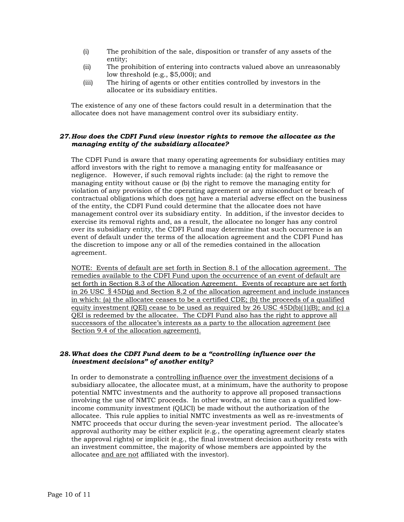- (i) The prohibition of the sale, disposition or transfer of any assets of the entity;
- (ii) The prohibition of entering into contracts valued above an unreasonably low threshold (e.g., \$5,000); and
- (iii) The hiring of agents or other entities controlled by investors in the allocatee or its subsidiary entities.

The existence of any one of these factors could result in a determination that the allocatee does not have management control over its subsidiary entity.

## *27. How does the CDFI Fund view investor rights to remove the allocatee as the managing entity of the subsidiary allocatee?*

The CDFI Fund is aware that many operating agreements for subsidiary entities may afford investors with the right to remove a managing entity for malfeasance or negligence. However, if such removal rights include: (a) the right to remove the managing entity without cause or (b) the right to remove the managing entity for violation of any provision of the operating agreement or any misconduct or breach of contractual obligations which does not have a material adverse effect on the business of the entity, the CDFI Fund could determine that the allocatee does not have management control over its subsidiary entity. In addition, if the investor decides to exercise its removal rights and, as a result, the allocatee no longer has any control over its subsidiary entity, the CDFI Fund may determine that such occurrence is an event of default under the terms of the allocation agreement and the CDFI Fund has the discretion to impose any or all of the remedies contained in the allocation agreement*.* 

NOTE:Events of default are set forth in Section 8.1 of the allocation agreement. The remedies available to the CDFI Fund upon the occurrence of an event of default are set forth in Section 8.3 of the Allocation Agreement. Events of recapture are set forth in 26 USC  $\S$  45D(g) and Section 8.2 of the allocation agreement and include instances in which: (a) the allocatee ceases to be a certified CDE; (b) the proceeds of a qualified equity investment (QEI) cease to be used as required by 26 USC 45D $(b)(1)(B)$ ; and (c) a QEI is redeemed by the allocatee. The CDFI Fund also has the right to approve all successors of the allocatee's interests as a party to the allocation agreement (see Section 9.4 of the allocation agreement).

## *28. What does the CDFI Fund deem to be a "controlling influence over the investment decisions" of another entity?*

In order to demonstrate a controlling influence over the investment decisions of a subsidiary allocatee, the allocatee must, at a minimum, have the authority to propose potential NMTC investments and the authority to approve all proposed transactions involving the use of NMTC proceeds. In other words, at no time can a qualified lowincome community investment (QLICI) be made without the authorization of the allocatee. This rule applies to initial NMTC investments as well as re-investments of NMTC proceeds that occur during the seven-year investment period. The allocatee's approval authority may be either explicit (e.g., the operating agreement clearly states the approval rights) or implicit (e.g., the final investment decision authority rests with an investment committee, the majority of whose members are appointed by the allocatee and are not affiliated with the investor).